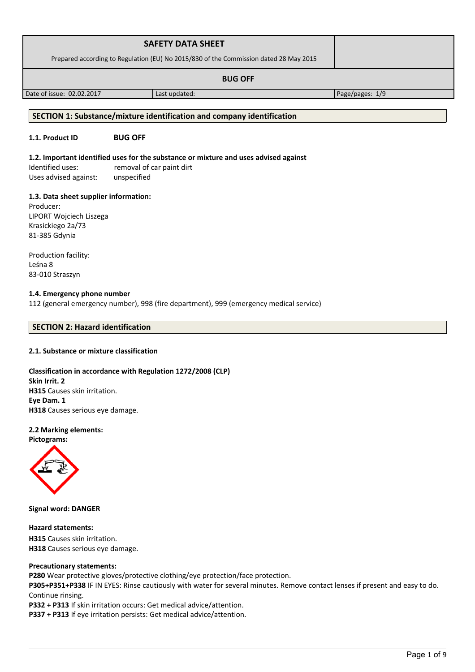|                                                                                       | <b>SAFETY DATA SHEET</b> |  |
|---------------------------------------------------------------------------------------|--------------------------|--|
| Prepared according to Regulation (EU) No 2015/830 of the Commission dated 28 May 2015 |                          |  |
| <b>BUG OFF</b>                                                                        |                          |  |

Date of issue: 02.02.2017 Last updated: Page/pages: 1/9

# **SECTION 1: Substance/mixture identification and company identification**

# **1.1. Product ID BUG OFF**

**1.2. Important identified uses for the substance or mixture and uses advised against** Identified uses: removal of car paint dirt

Uses advised against: unspecified

# **1.3. Data sheet supplier information:**

Producer: LIPORT Wojciech Liszega Krasickiego 2a/73 81-385 Gdynia

Production facility: Leśna 8 83-010 Straszyn

# **1.4. Emergency phone number**

112 (general emergency number), 998 (fire department), 999 (emergency medical service)

# **SECTION 2: Hazard identification**

# **2.1. Substance or mixture classification**

# **Classification in accordance with Regulation 1272/2008 (CLP) Skin Irrit. 2 H315** Causes skin irritation. **Eye Dam. 1 H318** Causes serious eye damage.

# **2.2 Marking elements:**

**Pictograms:**



**Signal word: DANGER**

# **Hazard statements:**

**H315** Causes skin irritation. **H318** Causes serious eye damage.

# **Precautionary statements:**

**P280** Wear protective gloves/protective clothing/eye protection/face protection.

**P305+P351+P338** IF IN EYES: Rinse cautiously with water for several minutes. Remove contact lenses if present and easy to do. Continue rinsing.

**P332 + P313** If skin irritation occurs: Get medical advice/attention.

**P337 + P313** If eye irritation persists: Get medical advice/attention.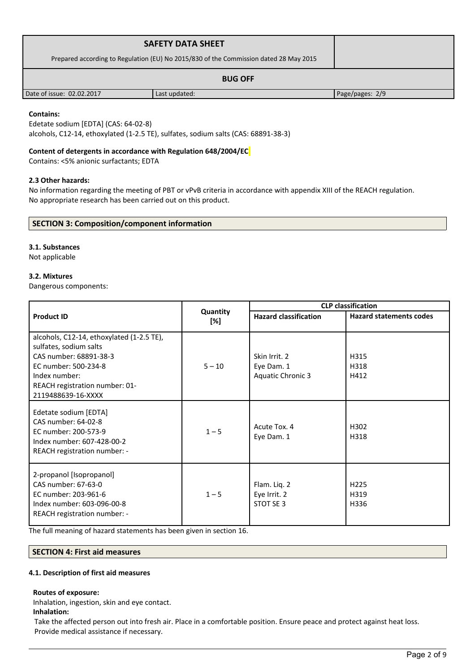| <b>SAFETY DATA SHEET</b>                                                              |               |                 |
|---------------------------------------------------------------------------------------|---------------|-----------------|
| Prepared according to Regulation (EU) No 2015/830 of the Commission dated 28 May 2015 |               |                 |
|                                                                                       |               |                 |
| Date of issue: 02.02.2017                                                             | Last updated: | Page/pages: 2/9 |

# **Contains:**

Edetate sodium [EDTA] (CAS: 64-02-8) alcohols, C12-14, ethoxylated (1-2.5 TE), sulfates, sodium salts (CAS: 68891-38-3)

# **Content of detergents in accordance with Regulation 648/2004/EC**

Contains: <5% anionic surfactants; EDTA

# **2.3 Other hazards:**

No information regarding the meeting of PBT or vPvB criteria in accordance with appendix XIII of the REACH regulation. No appropriate research has been carried out on this product.

# **SECTION 3: Composition/component information**

### **3.1. Substances**

Not applicable

# **3.2. Mixtures**

Dangerous components:

|                                                                                                                                                                                                |                 |                                                         | <b>CLP</b> classification        |
|------------------------------------------------------------------------------------------------------------------------------------------------------------------------------------------------|-----------------|---------------------------------------------------------|----------------------------------|
| <b>Product ID</b>                                                                                                                                                                              | Quantity<br>[%] | <b>Hazard classification</b>                            | <b>Hazard statements codes</b>   |
| alcohols, C12-14, ethoxylated (1-2.5 TE),<br>sulfates, sodium salts<br>CAS number: 68891-38-3<br>EC number: 500-234-8<br>Index number:<br>REACH registration number: 01-<br>2119488639-16-XXXX | $5 - 10$        | Skin Irrit. 2<br>Eye Dam. 1<br><b>Aquatic Chronic 3</b> | H315<br>H318<br>H412             |
| Edetate sodium [EDTA]<br>CAS number: 64-02-8<br>EC number: 200-573-9<br>Index number: 607-428-00-2<br>REACH registration number: -                                                             | $1 - 5$         | Acute Tox. 4<br>Eye Dam. 1                              | H302<br>H318                     |
| 2-propanol [Isopropanol]<br>CAS number: 67-63-0<br>EC number: 203-961-6<br>Index number: 603-096-00-8<br>REACH registration number: -                                                          | $1 - 5$         | Flam. Liq. 2<br>Eye Irrit. 2<br>STOT SE 3               | H <sub>225</sub><br>H319<br>H336 |

The full meaning of hazard statements has been given in section 16.

# **SECTION 4: First aid measures**

#### **4.1. Description of first aid measures**

### **Routes of exposure:**

Inhalation, ingestion, skin and eye contact.

**Inhalation:**

Take the affected person out into fresh air. Place in a comfortable position. Ensure peace and protect against heat loss. Provide medical assistance if necessary.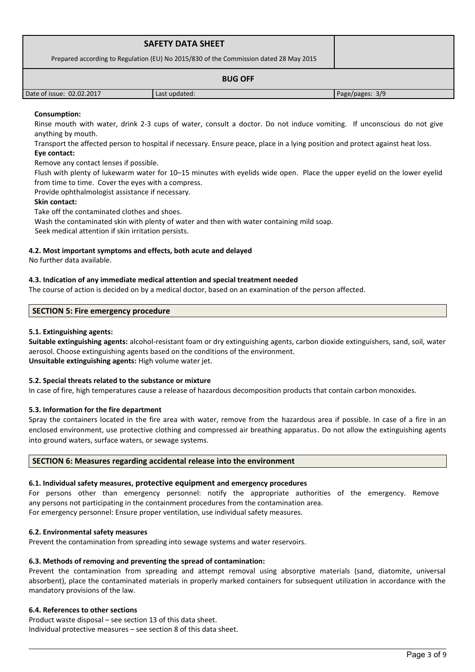| <b>SAFETY DATA SHEET</b><br>Prepared according to Regulation (EU) No 2015/830 of the Commission dated 28 May 2015 |               |                 |
|-------------------------------------------------------------------------------------------------------------------|---------------|-----------------|
|                                                                                                                   |               |                 |
| Date of issue: 02.02.2017                                                                                         | Last updated: | Page/pages: 3/9 |

# **Consumption:**

Rinse mouth with water, drink 2-3 cups of water, consult a doctor. Do not induce vomiting. If unconscious do not give anything by mouth.

Transport the affected person to hospital if necessary. Ensure peace, place in a lying position and protect against heat loss. **Eye contact:**

Remove any contact lenses if possible.

Flush with plenty of lukewarm water for 10–15 minutes with eyelids wide open. Place the upper eyelid on the lower eyelid from time to time. Cover the eyes with a compress.

Provide ophthalmologist assistance if necessary.

# **Skin contact:**

Take off the contaminated clothes and shoes.

Wash the contaminated skin with plenty of water and then with water containing mild soap.

Seek medical attention if skin irritation persists.

# **4.2. Most important symptoms and effects, both acute and delayed**

No further data available.

# **4.3. Indication of any immediate medical attention and special treatment needed**

The course of action is decided on by a medical doctor, based on an examination of the person affected.

# **SECTION 5: Fire emergency procedure**

# **5.1. Extinguishing agents:**

**Suitable extinguishing agents:** alcohol-resistant foam or dry extinguishing agents, carbon dioxide extinguishers, sand, soil, water aerosol. Choose extinguishing agents based on the conditions of the environment. **Unsuitable extinguishing agents:** High volume water jet.

# **5.2. Special threats related to the substance or mixture**

In case of fire, high temperatures cause a release of hazardous decomposition products that contain carbon monoxides.

# **5.3. Information for the fire department**

Spray the containers located in the fire area with water, remove from the hazardous area if possible. In case of a fire in an enclosed environment, use protective clothing and compressed air breathing apparatus. Do not allow the extinguishing agents into ground waters, surface waters, or sewage systems.

# **SECTION 6: Measures regarding accidental release into the environment**

# **6.1. Individual safety measures, protective equipment and emergency procedures**

For persons other than emergency personnel: notify the appropriate authorities of the emergency. Remove any persons not participating in the containment procedures from the contamination area. For emergency personnel: Ensure proper ventilation, use individual safety measures.

#### **6.2. Environmental safety measures**

Prevent the contamination from spreading into sewage systems and water reservoirs.

#### **6.3. Methods of removing and preventing the spread of contamination:**

Prevent the contamination from spreading and attempt removal using absorptive materials (sand, diatomite, universal absorbent), place the contaminated materials in properly marked containers for subsequent utilization in accordance with the mandatory provisions of the law.

# **6.4. References to other sections**

Product waste disposal – see section 13 of this data sheet. Individual protective measures – see section 8 of this data sheet.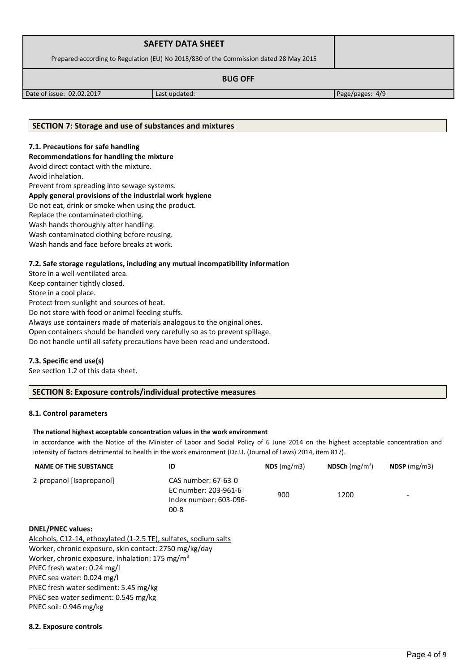| <b>SAFETY DATA SHEET</b>                                                              |               |                 |
|---------------------------------------------------------------------------------------|---------------|-----------------|
| Prepared according to Regulation (EU) No 2015/830 of the Commission dated 28 May 2015 |               |                 |
|                                                                                       |               |                 |
| Date of issue: 02.02.2017                                                             | Last updated: | Page/pages: 4/9 |

# **SECTION 7: Storage and use of substances and mixtures**

# **7.1. Precautions for safe handling**

**Recommendations for handling the mixture** 

Avoid direct contact with the mixture.

Avoid inhalation.

Prevent from spreading into sewage systems.

# **Apply general provisions of the industrial work hygiene**

Do not eat, drink or smoke when using the product.

Replace the contaminated clothing.

Wash hands thoroughly after handling.

Wash contaminated clothing before reusing.

Wash hands and face before breaks at work.

# **7.2. Safe storage regulations, including any mutual incompatibility information**

Store in a well-ventilated area. Keep container tightly closed.

Store in a cool place.

Protect from sunlight and sources of heat.

Do not store with food or animal feeding stuffs.

Always use containers made of materials analogous to the original ones.

Open containers should be handled very carefully so as to prevent spillage.

Do not handle until all safety precautions have been read and understood.

# **7.3. Specific end use(s)**

See section 1.2 of this data sheet.

# **SECTION 8: Exposure controls/individual protective measures**

# **8.1. Control parameters**

### **The national highest acceptable concentration values in the work environment**

in accordance with the Notice of the Minister of Labor and Social Policy of 6 June 2014 on the highest acceptable concentration and intensity of factors detrimental to health in the work environment (Dz.U. (Journal of Laws) 2014, item 817).

| <b>NAME OF THE SUBSTANCE</b>                                     | ID                                                                                | $NDS$ (mg/m3) | NDSCh $(mg/m^3)$ | $NDSP$ (mg/m3) |
|------------------------------------------------------------------|-----------------------------------------------------------------------------------|---------------|------------------|----------------|
| 2-propanol [Isopropanol]                                         | CAS number: 67-63-0<br>EC number: 203-961-6<br>Index number: 603-096-<br>$00 - 8$ | 900           | 1200             |                |
| <b>DNEL/PNEC values:</b>                                         |                                                                                   |               |                  |                |
| Alcohols, C12-14, ethoxylated (1-2.5 TE), sulfates, sodium salts |                                                                                   |               |                  |                |
| Worker, chronic exposure, skin contact: 2750 mg/kg/day           |                                                                                   |               |                  |                |
| Worker, chronic exposure, inhalation: 175 mg/m <sup>3</sup>      |                                                                                   |               |                  |                |
| PNEC fresh water: 0.24 mg/l                                      |                                                                                   |               |                  |                |
| PNEC sea water: 0.024 mg/l                                       |                                                                                   |               |                  |                |
| PNEC fresh water sediment: 5.45 mg/kg                            |                                                                                   |               |                  |                |
| PNEC sea water sediment: 0.545 mg/kg                             |                                                                                   |               |                  |                |
|                                                                  |                                                                                   |               |                  |                |

PNEC soil: 0.946 mg/kg

# **8.2. Exposure controls**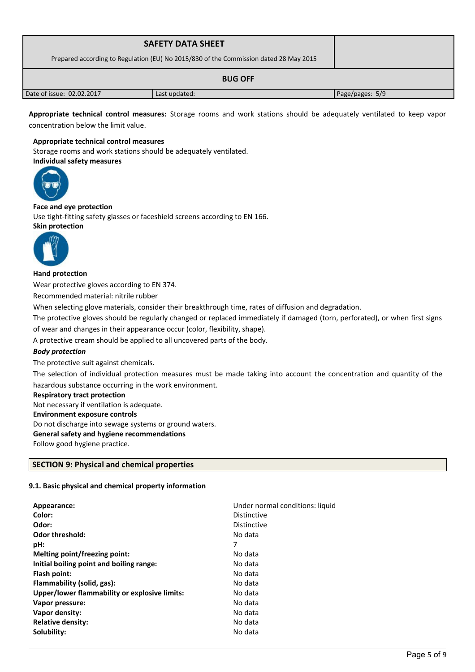| <b>SAFETY DATA SHEET</b><br>Prepared according to Regulation (EU) No 2015/830 of the Commission dated 28 May 2015 |               |                 |
|-------------------------------------------------------------------------------------------------------------------|---------------|-----------------|
|                                                                                                                   |               |                 |
| Date of issue: 02.02.2017                                                                                         | Last updated: | Page/pages: 5/9 |

**Appropriate technical control measures:** Storage rooms and work stations should be adequately ventilated to keep vapor concentration below the limit value.

## **Appropriate technical control measures**

Storage rooms and work stations should be adequately ventilated.



# **Face and eye protection**

Use tight-fitting safety glasses or faceshield screens according to EN 166. **Skin protection** 



### **Hand protection**

Wear protective gloves according to EN 374.

Recommended material: nitrile rubber

When selecting glove materials, consider their breakthrough time, rates of diffusion and degradation.

The protective gloves should be regularly changed or replaced immediately if damaged (torn, perforated), or when first signs of wear and changes in their appearance occur (color, flexibility, shape).

A protective cream should be applied to all uncovered parts of the body.

# *Body protection*

The protective suit against chemicals.

The selection of individual protection measures must be made taking into account the concentration and quantity of the hazardous substance occurring in the work environment.

#### **Respiratory tract protection**

Not necessary if ventilation is adequate. **Environment exposure controls**  Do not discharge into sewage systems or ground waters. **General safety and hygiene recommendations**

Follow good hygiene practice.

# **SECTION 9: Physical and chemical properties**

# **9.1. Basic physical and chemical property information**

| Appearance:                                   | Under normal conditions: liquid |
|-----------------------------------------------|---------------------------------|
| Color:                                        | Distinctive                     |
| Odor:                                         | <b>Distinctive</b>              |
| <b>Odor threshold:</b>                        | No data                         |
| pH:                                           | 7                               |
| Melting point/freezing point:                 | No data                         |
| Initial boiling point and boiling range:      | No data                         |
| Flash point:                                  | No data                         |
| Flammability (solid, gas):                    | No data                         |
| Upper/lower flammability or explosive limits: | No data                         |
| Vapor pressure:                               | No data                         |
| Vapor density:                                | No data                         |
| <b>Relative density:</b>                      | No data                         |
| Solubility:                                   | No data                         |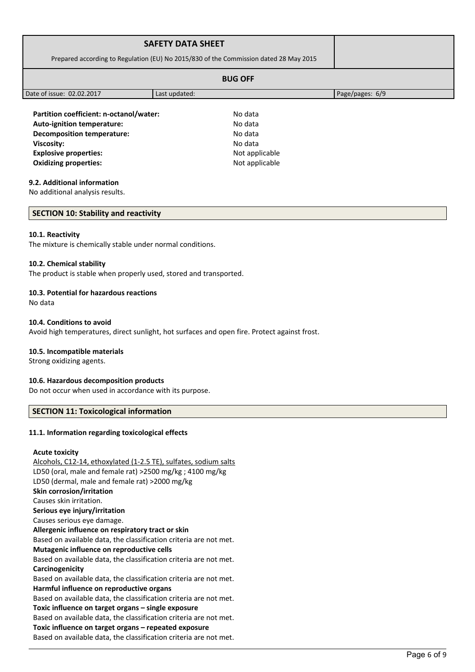|                                                                                       | <b>SAFETY DATA SHEET</b> |                 |
|---------------------------------------------------------------------------------------|--------------------------|-----------------|
| Prepared according to Regulation (EU) No 2015/830 of the Commission dated 28 May 2015 |                          |                 |
|                                                                                       |                          |                 |
| Date of issue: 02.02.2017                                                             | Last updated:            | Page/pages: 6/9 |
| Partition coefficient: n-octanol/water:<br><b>Auto-ignition temperature:</b>          | No data<br>No data       |                 |

**Viscosity:** No data **Explosive properties:**  $\blacksquare$  Not applicable **Oxidizing properties:** Not applicable

**Decomposition temperature:** No data

# **9.2. Additional information**

No additional analysis results.

# **SECTION 10: Stability and reactivity**

### **10.1. Reactivity**

The mixture is chemically stable under normal conditions.

### **10.2. Chemical stability**

The product is stable when properly used, stored and transported.

### **10.3. Potential for hazardous reactions**

No data

### **10.4. Conditions to avoid**

Avoid high temperatures, direct sunlight, hot surfaces and open fire. Protect against frost.

# **10.5. Incompatible materials**

Strong oxidizing agents.

# **10.6. Hazardous decomposition products**

Do not occur when used in accordance with its purpose.

# **SECTION 11: Toxicological information**

### **11.1. Information regarding toxicological effects**

# **Acute toxicity**

Alcohols, C12-14, ethoxylated (1-2.5 TE), sulfates, sodium salts LD50 (oral, male and female rat) >2500 mg/kg ; 4100 mg/kg LD50 (dermal, male and female rat) >2000 mg/kg **Skin corrosion/irritation** Causes skin irritation. **Serious eye injury/irritation** Causes serious eye damage. **Allergenic influence on respiratory tract or skin** Based on available data, the classification criteria are not met. **Mutagenic influence on reproductive cells** Based on available data, the classification criteria are not met. **Carcinogenicity** Based on available data, the classification criteria are not met. **Harmful influence on reproductive organs** Based on available data, the classification criteria are not met. **Toxic influence on target organs – single exposure** Based on available data, the classification criteria are not met. **Toxic influence on target organs – repeated exposure** Based on available data, the classification criteria are not met.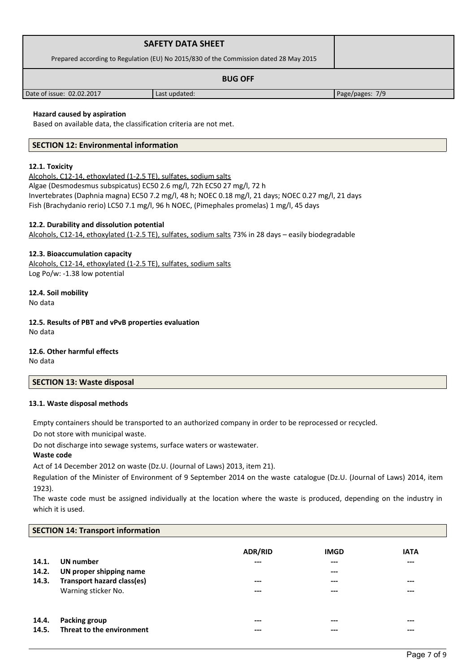| <b>SAFETY DATA SHEET</b>                                                              |               |                 |
|---------------------------------------------------------------------------------------|---------------|-----------------|
| Prepared according to Regulation (EU) No 2015/830 of the Commission dated 28 May 2015 |               |                 |
| <b>BUG OFF</b>                                                                        |               |                 |
| Date of issue: 02.02.2017                                                             | Last updated: | Page/pages: 7/9 |

# **Hazard caused by aspiration**

Based on available data, the classification criteria are not met.

# **SECTION 12: Environmental information**

### **12.1. Toxicity**

Alcohols, C12-14, ethoxylated (1-2.5 TE), sulfates, sodium salts Algae (Desmodesmus subspicatus) EC50 2.6 mg/l, 72h EC50 27 mg/l, 72 h Invertebrates (Daphnia magna) EC50 7.2 mg/l, 48 h; NOEC 0.18 mg/l, 21 days; NOEC 0.27 mg/l, 21 days Fish (Brachydanio rerio) LC50 7.1 mg/l, 96 h NOEC, (Pimephales promelas) 1 mg/l, 45 days

# **12.2. Durability and dissolution potential**

Alcohols, C12-14, ethoxylated (1-2.5 TE), sulfates, sodium salts 73% in 28 days – easily biodegradable

### **12.3. Bioaccumulation capacity**

Alcohols, C12-14, ethoxylated (1-2.5 TE), sulfates, sodium salts Log Po/w: -1.38 low potential

**12.4. Soil mobility** No data

**12.5. Results of PBT and vPvB properties evaluation** No data

**12.6. Other harmful effects**

No data

## **SECTION 13: Waste disposal**

# **13.1. Waste disposal methods**

Empty containers should be transported to an authorized company in order to be reprocessed or recycled.

Do not store with municipal waste.

Do not discharge into sewage systems, surface waters or wastewater.

### **Waste code**

Act of 14 December 2012 on waste (Dz.U. (Journal of Laws) 2013, item 21).

Regulation of the Minister of Environment of 9 September 2014 on the waste catalogue (Dz.U. (Journal of Laws) 2014, item 1923).

The waste code must be assigned individually at the location where the waste is produced, depending on the industry in which it is used.

#### **SECTION 14: Transport information**

| 14.1.<br>14.2.<br>14.3. | UN number<br>UN proper shipping name<br><b>Transport hazard class(es)</b><br>Warning sticker No. | <b>ADR/RID</b><br>$---$<br>---<br>$---$ | <b>IMGD</b><br>$---$<br>$-- -$<br>---<br>$---$ | <b>IATA</b><br>$---$<br>---<br>$---$ |
|-------------------------|--------------------------------------------------------------------------------------------------|-----------------------------------------|------------------------------------------------|--------------------------------------|
| 14.4.                   | <b>Packing group</b>                                                                             | $---$                                   | $---$                                          | $---$                                |
| 14.5.                   | Threat to the environment                                                                        | ---                                     | ---                                            | ---                                  |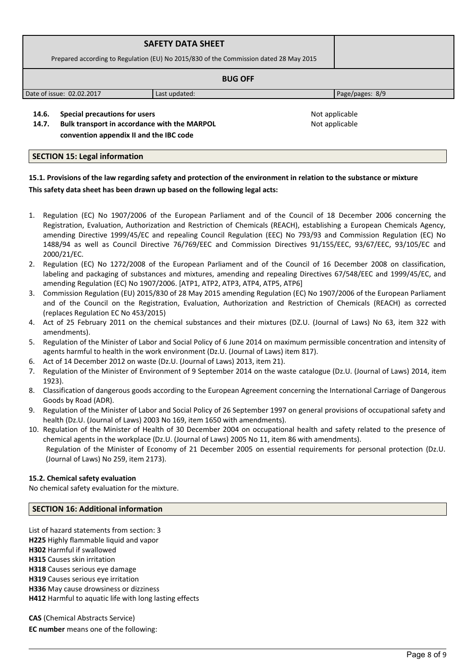|                                                                                       | <b>SAFETY DATA SHEET</b> |                 |
|---------------------------------------------------------------------------------------|--------------------------|-----------------|
| Prepared according to Regulation (EU) No 2015/830 of the Commission dated 28 May 2015 |                          |                 |
|                                                                                       |                          |                 |
| Date of issue: 02.02.2017                                                             | Last updated:            | Page/pages: 8/9 |
| Special precautions for users<br>14.6.                                                |                          | Not applicable  |

Not applicable

**14.7. Bulk transport in accordance with the MARPOL convention appendix II and the IBC code** 

**SECTION 15: Legal information**

# **15.1. Provisions of the law regarding safety and protection of the environment in relation to the substance or mixture This safety data sheet has been drawn up based on the following legal acts:**

- 1. Regulation (EC) No 1907/2006 of the European Parliament and of the Council of 18 December 2006 concerning the Registration, Evaluation, Authorization and Restriction of Chemicals (REACH), establishing a European Chemicals Agency, amending Directive 1999/45/EC and repealing Council Regulation (EEC) No 793/93 and Commission Regulation (EC) No 1488/94 as well as Council Directive 76/769/EEC and Commission Directives 91/155/EEC, 93/67/EEC, 93/105/EC and 2000/21/EC.
- 2. Regulation (EC) No 1272/2008 of the European Parliament and of the Council of 16 December 2008 on classification, labeling and packaging of substances and mixtures, amending and repealing Directives 67/548/EEC and 1999/45/EC, and amending Regulation (EC) No 1907/2006. [ATP1, ATP2, ATP3, ATP4, ATP5, ATP6]
- 3. Commission Regulation (EU) 2015/830 of 28 May 2015 amending Regulation (EC) No 1907/2006 of the European Parliament and of the Council on the Registration, Evaluation, Authorization and Restriction of Chemicals (REACH) as corrected (replaces Regulation EC No 453/2015)
- 4. Act of 25 February 2011 on the chemical substances and their mixtures (DZ.U. (Journal of Laws) No 63, item 322 with amendments).
- 5. Regulation of the Minister of Labor and Social Policy of 6 June 2014 on maximum permissible concentration and intensity of agents harmful to health in the work environment (Dz.U. (Journal of Laws) item 817).
- 6. Act of 14 December 2012 on waste (Dz.U. (Journal of Laws) 2013, item 21).
- 7. Regulation of the Minister of Environment of 9 September 2014 on the waste catalogue (Dz.U. (Journal of Laws) 2014, item 1923).
- 8. Classification of dangerous goods according to the European Agreement concerning the International Carriage of Dangerous Goods by Road (ADR).
- 9. Regulation of the Minister of Labor and Social Policy of 26 September 1997 on general provisions of occupational safety and health (Dz.U. (Journal of Laws) 2003 No 169, item 1650 with amendments).
- 10. Regulation of the Minister of Health of 30 December 2004 on occupational health and safety related to the presence of chemical agents in the workplace (Dz.U. (Journal of Laws) 2005 No 11, item 86 with amendments). Regulation of the Minister of Economy of 21 December 2005 on essential requirements for personal protection (Dz.U. (Journal of Laws) No 259, item 2173).

# **15.2. Chemical safety evaluation**

No chemical safety evaluation for the mixture.

# **SECTION 16: Additional information**

List of hazard statements from section: 3

**H225** Highly flammable liquid and vapor **H302** Harmful if swallowed

**H315** Causes skin irritation

**H318** Causes serious eye damage

**H319** Causes serious eye irritation

**H336** May cause drowsiness or dizziness

**H412** Harmful to aquatic life with long lasting effects

**CAS** (Chemical Abstracts Service)

**EC number** means one of the following: